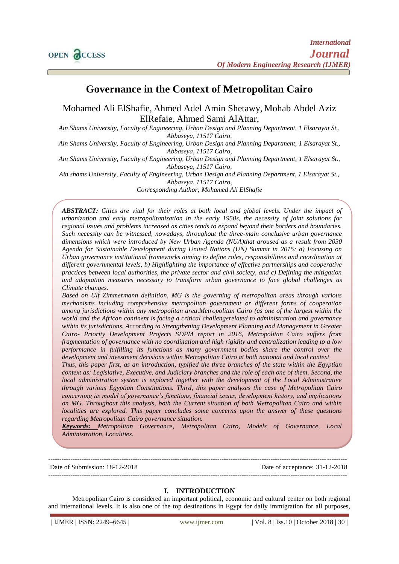# **Governance in the Context of Metropolitan Cairo**

Mohamed Ali ElShafie, Ahmed Adel Amin Shetawy, Mohab Abdel Aziz ElRefaie, Ahmed Sami AlAttar,

*Ain Shams University, Faculty of Engineering, Urban Design and Planning Department, 1 Elsarayat St., Abbaseya, 11517 Cairo,* 

*Ain Shams University, Faculty of Engineering, Urban Design and Planning Department, 1 Elsarayat St., Abbaseya, 11517 Cairo,* 

*Ain Shams University, Faculty of Engineering, Urban Design and Planning Department, 1 Elsarayat St., Abbaseya, 11517 Cairo,* 

*Ain shams University, Faculty of Engineering, Urban Design and Planning Department, 1 Elsarayat St., Abbaseya, 11517 Cairo,* 

*Corresponding Author; Mohamed Ali ElShafie*

*ABSTRACT: Cities are vital for their roles at both local and global levels. Under the impact of urbanization and early metropolitanization in the early 1950s, the necessity of joint solutions for regional issues and problems increased as cities tends to expand beyond their borders and boundaries. Such necessity can be witnessed, nowadays, throughout the three-main conclusive urban governance dimensions which were introduced by New Urban Agenda (NUA)that aroused as a result from 2030 Agenda for Sustainable Development during United Nations (UN) Summit in 2015: a) Focusing on Urban governance institutional frameworks aiming to define roles, responsibilities and coordination at different governmental levels, b) Highlighting the importance of effective partnerships and cooperative practices between local authorities, the private sector and civil society, and c) Defining the mitigation and adaptation measures necessary to transform urban governance to face global challenges as Climate changes.*

*Based on Ulf Zimmermann definition, MG is the governing of metropolitan areas through various mechanisms including comprehensive metropolitan government or different forms of cooperation among jurisdictions within any metropolitan area.Metropolitan Cairo (as one of the largest within the world and the African continent is facing a critical challengerelated to administration and governance within its jurisdictions. According to Strengthening Development Planning and Management in Greater Cairo- Priority Development Projects SDPM report in 2016, Metropolitan Cairo suffers from fragmentation of governance with no coordination and high rigidity and centralization leading to a low performance in fulfilling its functions as many government bodies share the control over the development and investment decisions within Metropolitan Cairo at both national and local context*

*Thus, this paper first, as an introduction, typified the three branches of the state within the Egyptian context as: Legislative, Executive, and Judiciary branches and the role of each one of them. Second, the local administration system is explored together with the development of the Local Administrative through various Egyptian Constitutions. Third, this paper analyzes the case of Metropolitan Cairo concerning its model of governance's functions, financial issues, development history, and implications on MG. Throughout this analysis, both the Current situation of both Metropolitan Cairo and within localities are explored. This paper concludes some concerns upon the answer of these questions regarding Metropolitan Cairo governance situation.* 

*Keywords: Metropolitan Governance, Metropolitan Cairo, Models of Governance, Local Administration, Localities.*

-------------------------------------------------------------------------------------------------------------------------------------- Date of Submission: 18-12-2018 Date of acceptance: 31-12-2018 --------------------------------------------------------------------------------------------------------------------------------------

## **I. INTRODUCTION**

Metropolitan Cairo is considered an important political, economic and cultural center on both regional and international levels. It is also one of the top destinations in Egypt for daily immigration for all purposes,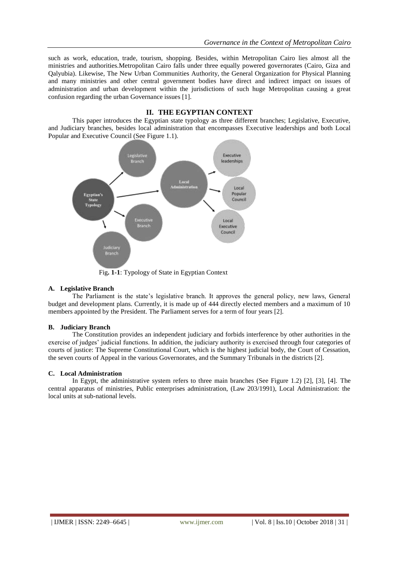such as work, education, trade, tourism, shopping. Besides, within Metropolitan Cairo lies almost all the ministries and authorities.Metropolitan Cairo falls under three equally powered governorates (Cairo, Giza and Qalyubia). Likewise, The New Urban Communities Authority, the General Organization for Physical Planning and many ministries and other central government bodies have direct and indirect impact on issues of administration and urban development within the jurisdictions of such huge Metropolitan causing a great confusion regarding the urban Governance issues [1].

# **II. THE EGYPTIAN CONTEXT**

This paper introduces the Egyptian state typology as three different branches; Legislative, Executive, and Judiciary branches, besides local administration that encompasses Executive leaderships and both Local Popular and Executive Council (See Figure 1.1).



#### Fig**. 1-1**: Typology of State in Egyptian Context

#### **A. Legislative Branch**

The Parliament is the state's legislative branch. It approves the general policy, new laws, General budget and development plans. Currently, it is made up of 444 directly elected members and a maximum of 10 members appointed by the President. The Parliament serves for a term of four years [2].

#### **B. Judiciary Branch**

The Constitution provides an independent judiciary and forbids interference by other authorities in the exercise of judges' judicial functions. In addition, the judiciary authority is exercised through four categories of courts of justice: The Supreme Constitutional Court, which is the highest judicial body, the Court of Cessation, the seven courts of Appeal in the various Governorates, and the Summary Tribunals in the districts [2].

#### **C. Local Administration**

In Egypt, the administrative system refers to three main branches (See Figure 1.2) [2], [3], [4]. The central apparatus of ministries, Public enterprises administration, (Law 203/1991), Local Administration: the local units at sub-national levels.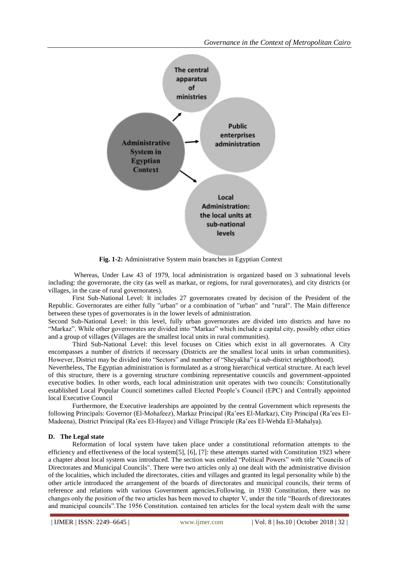

**Fig. 1-2:** Administrative System main branches in Egyptian Context

Whereas, Under Law 43 of 1979, local administration is organized based on 3 subnational levels including: the governorate, the city (as well as markaz, or regions, for rural governorates), and city districts (or villages, in the case of rural governorates).

First Sub-National Level: It includes 27 governorates created by decision of the President of the Republic. Governorates are either fully "urban" or a combination of "urban" and "rural". The Main difference between these types of governorates is in the lower levels of administration.

Second Sub-National Level: in this level, fully urban governorates are divided into districts and have no "Markaz". While other governorates are divided into "Markaz" which include a capital city, possibly other cities and a group of villages (Villages are the smallest local units in rural communities).

Third Sub-National Level: this level focuses on Cities which exist in all governorates. A City encompasses a number of districts if necessary (Districts are the smallest local units in urban communities). However, District may be divided into "Sectors" and number of "Sheyakha" (a sub-district neighborhood).

Nevertheless, The Egyptian administration is formulated as a strong hierarchical vertical structure. At each level of this structure, there is a governing structure combining representative councils and government-appointed executive bodies. In other words, each local administration unit operates with two councils: Constitutionally established Local Popular Council sometimes called Elected People's Council (EPC) and Centrally appointed local Executive Council

Furthermore, the Executive leaderships are appointed by the central Government which represents the following Principals: Governor (El-Mohafeez), Markaz Principal (Ra'ees El-Markaz), City Principal (Ra'ees El-Madeena), District Principal (Ra'ees El-Hayee) and Village Principle (Ra'ees El-Wehda El-Mahalya).

## **D. The Legal state**

Reformation of local system have taken place under a constitutional reformation attempts to the efficiency and effectiveness of the local system[5], [6], [7]: these attempts started with Constitution 1923 where a chapter about local system was introduced. The section was entitled "Political Powers" with title "Councils of Directorates and Municipal Councils". There were two articles only a) one dealt with the administrative division of the localities, which included the directorates, cities and villages and granted its legal personality while b) the other article introduced the arrangement of the boards of directorates and municipal councils, their terms of reference and relations with various Government agencies.Following, in 1930 Constitution, there was no changes only the position of the two articles has been moved to chapter V, under the title "Boards of directorates and municipal councils".The 1956 Constitution. contained ten articles for the local system dealt with the same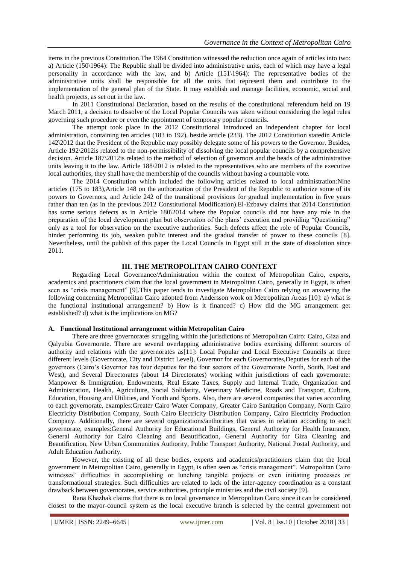items in the previous Constitution.The 1964 Constitution witnessed the reduction once again of articles into two: a) Article (150\1964): The Republic shall be divided into administrative units, each of which may have a legal personality in accordance with the law, and b) Article (151\1964): The representative bodies of the administrative units shall be responsible for all the units that represent them and contribute to the implementation of the general plan of the State. It may establish and manage facilities, economic, social and health projects, as set out in the law.

In 2011 Constitutional Declaration, based on the results of the constitutional referendum held on 19 March 2011, a decision to dissolve of the Local Popular Councils was taken without considering the legal rules governing such procedure or even the appointment of temporary popular councils.

The attempt took place in the 2012 Constitutional introduced an independent chapter for local administration, containing ten articles (183 to 192), beside article (233). The 2012 Constitution statedin Article 142\2012 that the President of the Republic may possibly delegate some of his powers to the Governor. Besides, Article 192\2012is related to the non-permissibility of dissolving the local popular councils by a comprehensive decision. Article 187\2012is related to the method of selection of governors and the heads of the administrative units leaving it to the law. Article 188\2012 is related to the representatives who are members of the executive local authorities, they shall have the membership of the councils without having a countable vote.

The 2014 Constitution which included the following articles related to local administration:Nine articles (175 to 183),Article 148 on the authorization of the President of the Republic to authorize some of its powers to Governors, and Article 242 of the transitional provisions for gradual implementation in five years rather than ten (as in the previous 2012 Constitutional Modification).El-Ezbawy claims that 2014 Constitution has some serious defects as in Article 180\2014 where the Popular councils did not have any role in the preparation of the local development plan but observation of the plans' execution and providing "Questioning" only as a tool for observation on the executive authorities. Such defects affect the role of Popular Councils, hinder performing its job, weaken public interest and the gradual transfer of power to these councils [8]. Nevertheless, until the publish of this paper the Local Councils in Egypt still in the state of dissolution since 2011.

## **III. THE METROPOLITAN CAIRO CONTEXT**

Regarding Local Governance/Administration within the context of Metropolitan Cairo, experts, academics and practitioners claim that the local government in Metropolitan Cairo, generally in Egypt, is often seen as "crisis management" [9].This paper tends to investigate Metropolitan Cairo relying on answering the following concerning Metropolitan Cairo adopted from Andersson work on Metropolitan Areas [10]: a) what is the functional institutional arrangement? b) How is it financed? c) How did the MG arrangement get established? d) what is the implications on MG?

## **A. Functional Institutional arrangement within Metropolitan Cairo**

There are three governorates struggling within the jurisdictions of Metropolitan Cairo: Cairo, Giza and Qalyubia Governorate. There are several overlapping administrative bodies exercising different sources of authority and relations with the governorates as[11]: Local Popular and Local Executive Councils at three different levels (Governorate, City and District Level), Governor for each Governorates, Deputies for each of the governors (Cairo's Governor has four deputies for the four sectors of the Governorate North, South, East and West), and Several Directorates (about 14 Directorates) working within jurisdictions of each governorate: Manpower & Immigration, Endowments, Real Estate Taxes, Supply and Internal Trade, Organization and Administration, Health, Agriculture, Social Solidarity, Veterinary Medicine, Roads and Transport, Culture, Education, Housing and Utilities, and Youth and Sports. Also, there are several companies that varies according to each governorate, examples:Greater Cairo Water Company, Greater Cairo Sanitation Company, North Cairo Electricity Distribution Company, South Cairo Electricity Distribution Company, Cairo Electricity Production Company. Additionally, there are several organizations/authorities that varies in relation according to each governorate, examples:General Authority for Educational Buildings, General Authority for Health Insurance, General Authority for Cairo Cleaning and Beautification, General Authority for Giza Cleaning and Beautification, New Urban Communities Authority, Public Transport Authority, National Postal Authority, and Adult Education Authority.

However, the existing of all these bodies, experts and academics/practitioners claim that the local government in Metropolitan Cairo, generally in Egypt, is often seen as "crisis management". Metropolitan Cairo witnesses' difficulties in accomplishing or lunching tangible projects or even initiating processes or transformational strategies. Such difficulties are related to lack of the inter-agency coordination as a constant drawback between governorates, service authorities, principle ministries and the civil society [9].

Rana Khazbak claims that there is no local governance in Metropolitan Cairo since it can be considered closest to the mayor-council system as the local executive branch is selected by the central government not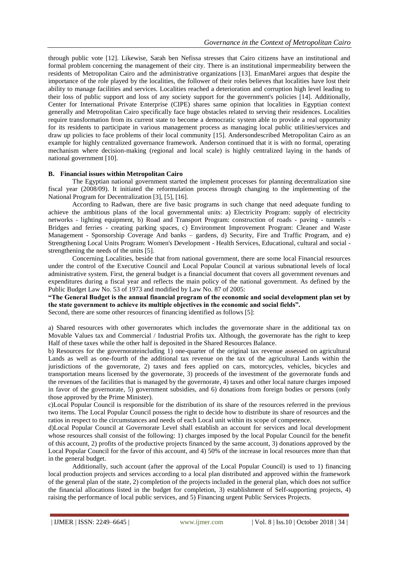through public vote [12]. Likewise, Sarah ben Nefissa stresses that Cairo citizens have an institutional and formal problem concerning the management of their city. There is an institutional impermeability between the residents of Metropolitan Cairo and the administrative organizations [13]. EmanMarei argues that despite the importance of the role played by the localities, the follower of their roles believes that localities have lost their ability to manage facilities and services. Localities reached a deterioration and corruption high level leading to their loss of public support and loss of any society support for the government's policies [14]. Additionally, Center for International Private Enterprise (CIPE) shares same opinion that localities in Egyptian context generally and Metropolitan Cairo specifically face huge obstacles related to serving their residences. Localities require transformation from its current state to become a democratic system able to provide a real opportunity for its residents to participate in various management process as managing local public utilities/services and draw up policies to face problems of their local community [15]. Andersondescribed Metropolitan Cairo as an example for highly centralized governance framework. Anderson continued that it is with no formal, operating mechanism where decision-making (regional and local scale) is highly centralized laying in the hands of national government [10].

## **B. Financial issues within Metropolitan Cairo**

The Egyptian national government started the implement processes for planning decentralization sine fiscal year (2008/09). It initiated the reformulation process through changing to the implementing of the National Program for Decentralization [3], [5], [16].

According to Radwan, there are five basic programs in such change that need adequate funding to achieve the ambitious plans of the local governmental units: a) Electricity Program: supply of electricity networks - lighting equipment, b) Road and Transport Program: construction of roads - paving - tunnels - Bridges and ferries - creating parking spaces, c) Environment Improvement Program: Cleaner and Waste Management - Sponsorship Coverage And banks – gardens, d) Security, Fire and Traffic Program, and e) Strengthening Local Units Program: Women's Development - Health Services, Educational, cultural and social strengthening the needs of the units [5].

Concerning Localities, beside that from national government, there are some local Financial resources under the control of the Executive Council and Local Popular Council at various subnational levels of local administrative system. First, the general budget is a financial document that covers all government revenues and expenditures during a fiscal year and reflects the main policy of the national government. As defined by the Public Budget Law No. 53 of 1973 and modified by Law No. 87 of 2005:

**"The General Budget is the annual financial program of the economic and social development plan set by the state government to achieve its multiple objectives in the economic and social fields".** Second, there are some other resources of financing identified as follows [5]:

a) Shared resources with other governorates which includes the governorate share in the additional tax on Movable Values tax and Commercial / Industrial Profits tax. Although, the governorate has the right to keep Half of these taxes while the other half is deposited in the Shared Resources Balance.

b) Resources for the governorateincluding 1) one-quarter of the original tax revenue assessed on agricultural Lands as well as one-fourth of the additional tax revenue on the tax of the agricultural Lands within the jurisdictions of the governorate, 2) taxes and fees applied on cars, motorcycles, vehicles, bicycles and transportation means licensed by the governorate, 3) proceeds of the investment of the governorate funds and the revenues of the facilities that is managed by the governorate, 4) taxes and other local nature charges imposed in favor of the governorate, 5) government subsidies, and 6) donations from foreign bodies or persons (only those approved by the Prime Minister).

c)Local Popular Council is responsible for the distribution of its share of the resources referred in the previous two items. The Local Popular Council possess the right to decide how to distribute its share of resources and the ratios in respect to the circumstances and needs of each Local unit within its scope of competence.

d)Local Popular Council at Governorate Level shall establish an account for services and local development whose resources shall consist of the following: 1) charges imposed by the local Popular Council for the benefit of this account, 2) profits of the productive projects financed by the same account, 3) donations approved by the Local Popular Council for the favor of this account, and 4) 50% of the increase in local resources more than that in the general budget.

Additionally, such account (after the approval of the Local Popular Council) is used to 1) financing local production projects and services according to a local plan distributed and approved within the framework of the general plan of the state, 2) completion of the projects included in the general plan, which does not suffice the financial allocations listed in the budget for completion, 3) establishment of Self-supporting projects, 4) raising the performance of local public services, and 5) Financing urgent Public Services Projects.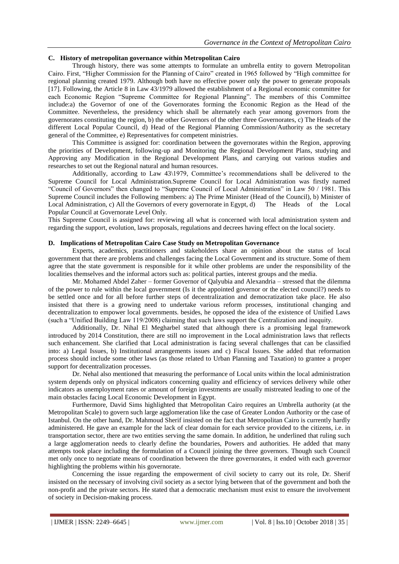# **C. History of metropolitan governance within Metropolitan Cairo**

Through history, there was some attempts to formulate an umbrella entity to govern Metropolitan Cairo. First, "Higher Commission for the Planning of Cairo" created in 1965 followed by "High committee for regional planning created 1979. Although both have no effective power only the power to generate proposals [17]. Following, the Article 8 in Law 43/1979 allowed the establishment of a Regional economic committee for each Economic Region "Supreme Committee for Regional Planning". The members of this Committee include:a) the Governor of one of the Governorates forming the Economic Region as the Head of the Committee. Nevertheless, the presidency which shall be alternately each year among governors from the governorates constituting the region, b) the other Governors of the other three Governorates, c) The Heads of the different Local Popular Council, d) Head of the Regional Planning Commission/Authority as the secretary general of the Committee, e) Representatives for competent ministries.

This Committee is assigned for: coordination between the governorates within the Region, approving the priorities of Development, following-up and Monitoring the Regional Development Plans, studying and Approving any Modification in the Regional Development Plans, and carrying out various studies and researches to set out the Regional natural and human resources.

Additionally, according to Law 43\1979, Committee's recommendations shall be delivered to the Supreme Council for Local Administration.Supreme Council for Local Administration was firstly named "Council of Governors" then changed to "Supreme Council of Local Administration" in Law 50 / 1981. This Supreme Council includes the Following members: a) The Prime Minister (Head of the Council), b) Minister of Local Administration, c) All the Governors of every governorate in Egypt, d) The Heads of the Local Popular Council at Governorate Level Only.

This Supreme Council is assigned for: reviewing all what is concerned with local administration system and regarding the support, evolution, laws proposals, regulations and decrees having effect on the local society.

## **D. Implications of Metropolitan Cairo Case Study on Metropolitan Governance**

Experts, academics, practitioners and stakeholders share an opinion about the status of local government that there are problems and challenges facing the Local Government and its structure. Some of them agree that the state government is responsible for it while other problems are under the responsibility of the localities themselves and the informal actors such as: political parties, interest groups and the media.

Mr. Mohamed Abdel Zaher – former Governor of Qalyubia and Alexandria – stressed that the dilemma of the power to rule within the local government (Is it the appointed governor or the elected council?) needs to be settled once and for all before further steps of decentralization and democratization take place. He also insisted that there is a growing need to undertake various reform processes, institutional changing and decentralization to empower local governments. besides, he opposed the idea of the existence of Unified Laws (such a "Unified Building Law 119/2008) claiming that such laws support the Centralization and inequity.

Additionally, Dr. Nihal El Megharbel stated that although there is a promising legal framework introduced by 2014 Constitution, there are still no improvement in the Local administration laws that reflects such enhancement. She clarified that Local administration is facing several challenges that can be classified into: a) Legal Issues, b) Institutional arrangements issues and c) Fiscal Issues. She added that reformation process should include some other laws (as those related to Urban Planning and Taxation) to grantee a proper support for decentralization processes.

Dr. Nehal also mentioned that measuring the performance of Local units within the local administration system depends only on physical indicators concerning quality and efficiency of services delivery while other indicators as unemployment rates or amount of foreign investments are usually mistreated leading to one of the main obstacles facing Local Economic Development in Egypt.

Furthermore, David Sims highlighted that Metropolitan Cairo requires an Umbrella authority (at the Metropolitan Scale) to govern such large agglomeration like the case of Greater London Authority or the case of Istanbul. On the other hand, Dr. Mahmoud Sherif insisted on the fact that Metropolitan Cairo is currently hardly administered. He gave an example for the lack of clear domain for each service provided to the citizens, i.e. in transportation sector, there are two entities serving the same domain. In addition, he underlined that ruling such a large agglomeration needs to clearly define the boundaries, Powers and authorities. He added that many attempts took place including the formulation of a Council joining the three governors. Though such Council met only once to negotiate means of coordination between the three governorates, it ended with each governor highlighting the problems within his governorate.

Concerning the issue regarding the empowerment of civil society to carry out its role, Dr. Sherif insisted on the necessary of involving civil society as a sector lying between that of the government and both the non-profit and the private sectors. He stated that a democratic mechanism must exist to ensure the involvement of society in Decision-making process.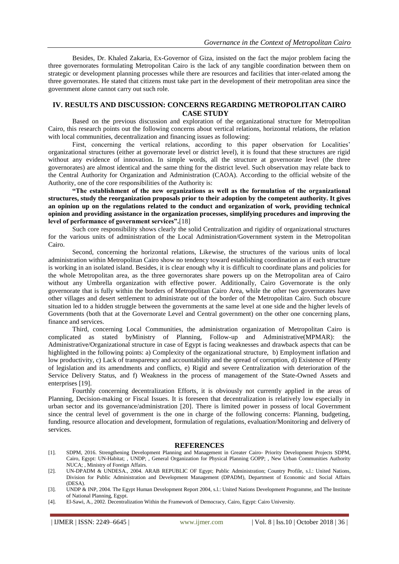Besides, Dr. Khaled Zakaria, Ex-Governor of Giza, insisted on the fact the major problem facing the three governorates formulating Metropolitan Cairo is the lack of any tangible coordination between them on strategic or development planning processes while there are resources and facilities that inter-related among the three governorates. He stated that citizens must take part in the development of their metropolitan area since the government alone cannot carry out such role.

# **IV. RESULTS AND DISCUSSION: CONCERNS REGARDING METROPOLITAN CAIRO CASE STUDY**

Based on the previous discussion and exploration of the organizational structure for Metropolitan Cairo, this research points out the following concerns about vertical relations, horizontal relations, the relation with local communities, decentralization and financing issues as following:

First, concerning the vertical relations, according to this paper observation for Localities' organizational structures (either at governorate level or district level), it is found that these structures are rigid without any evidence of innovation. In simple words, all the structure at governorate level (the three governorates) are almost identical and the same thing for the district level. Such observation may relate back to the Central Authority for Organization and Administration (CAOA). According to the official website of the Authority, one of the core responsibilities of the Authority is:

**"The establishment of the new organizations as well as the formulation of the organizational structures, study the reorganization proposals prior to their adoption by the competent authority. It gives an opinion up on the regulations related to the conduct and organization of work, providing technical opinion and providing assistance in the organization processes, simplifying procedures and improving the level of performance of government services".**[18]

Such core responsibility shows clearly the solid Centralization and rigidity of organizational structures for the various units of administration of the Local Administration/Government system in the Metropolitan Cairo.

Second, concerning the horizontal relations, Likewise, the structures of the various units of local administration within Metropolitan Cairo show no tendency toward establishing coordination as if each structure is working in an isolated island. Besides, it is clear enough why it is difficult to coordinate plans and policies for the whole Metropolitan area, as the three governorates share powers up on the Metropolitan area of Cairo without any Umbrella organization with effective power. Additionally, Cairo Governorate is the only governorate that is fully within the borders of Metropolitan Cairo Area, while the other two governorates have other villages and desert settlement to administrate out of the border of the Metropolitan Cairo. Such obscure situation led to a hidden struggle between the governments at the same level at one side and the higher levels of Governments (both that at the Governorate Level and Central government) on the other one concerning plans, finance and services.

Third, concerning Local Communities, the administration organization of Metropolitan Cairo is complicated as stated byMinistry of Planning, Follow-up and Administrative(MPMAR): the Administrative/Organizational structure in case of Egypt is facing weaknesses and drawback aspects that can be highlighted in the following points: a) Complexity of the organizational structure, b) Employment inflation and low productivity, c) Lack of transparency and accountability and the spread of corruption, d) Existence of Plenty of legislation and its amendments and conflicts, e) Rigid and severe Centralization with deterioration of the Service Delivery Status, and f) Weakness in the process of management of the State-Owned Assets and enterprises [19].

Fourthly concerning decentralization Efforts, it is obviously not currently applied in the areas of Planning, Decision-making or Fiscal Issues. It is foreseen that decentralization is relatively low especially in urban sector and its governance/administration [20]. There is limited power in possess of local Government since the central level of government is the one in charge of the following concerns: Planning, budgeting, funding, resource allocation and development, formulation of regulations, evaluation/Monitoring and delivery of services.

#### **REFERENCES**

- [1]. SDPM, 2016. Strengthening Development Planning and Management in Greater Cairo- Priority Development Projects SDPM, Cairo, Egypt: UN-Habitat; , UNDP; , General Organization for Physical Planning GOPP; , New Urban Communities Authority NUCA; , Ministry of Foreign Affairs.
- [2]. UN-DPADM & UNDESA., 2004. ARAB REPUBLIC OF Egypt; Public Administration; Country Profile, s.l.: United Nations, Division for Public Administration and Development Management (DPADM), Department of Economic and Social Affairs (DESA).
- [3]. UNDP & INP, 2004. The Egypt Human Development Report 2004, s.l.: United Nations Development Programme, and The Institute of National Planning, Egypt.
- [4]. El-Sawi, A., 2002. Decentralization Within the Framework of Democracy, Cairo, Egypt: Cairo University.